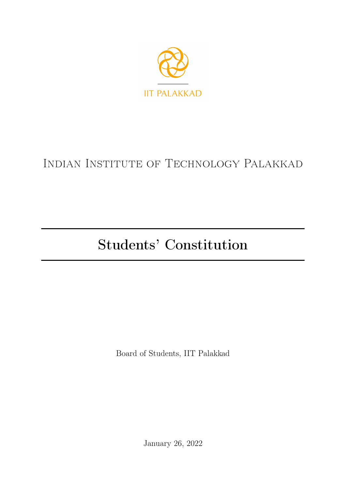

# Indian Institute of Technology Palakkad

# Students' Constitution

Board of Students, IIT Palakkad

January 26, 2022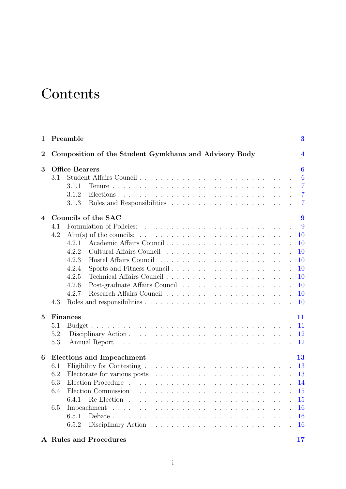# **Contents**

| $\mathbf{1}$   |     | Preamble                                              | $\bf{3}$         |
|----------------|-----|-------------------------------------------------------|------------------|
| $\overline{2}$ |     | Composition of the Student Gymkhana and Advisory Body | $\boldsymbol{4}$ |
| 3              |     | <b>Office Bearers</b>                                 | $\bf{6}$         |
|                | 3.1 |                                                       | 6                |
|                |     | 3.1.1                                                 | $\overline{7}$   |
|                |     | 3.1.2                                                 | $\overline{7}$   |
|                |     | 3.1.3                                                 | $\overline{7}$   |
| 4              |     | Councils of the SAC                                   | 9                |
|                | 4.1 |                                                       | 9                |
|                | 4.2 |                                                       | 10               |
|                |     | Academic Affairs Council<br>4.2.1                     | 10               |
|                |     | 4.2.2                                                 | 10               |
|                |     | 4.2.3<br>Hostel Affairs Council                       | 10               |
|                |     | 4.2.4<br>Sports and Fitness Council                   | 10               |
|                |     | 4.2.5                                                 | 10               |
|                |     | 4.2.6                                                 | 10               |
|                |     | 4.2.7                                                 | 10               |
|                | 4.3 |                                                       | 10               |
| 5              |     | Finances                                              | 11               |
|                | 5.1 |                                                       | 11               |
|                | 5.2 |                                                       | 12               |
|                | 5.3 |                                                       | 12               |
| 6              |     | <b>Elections and Impeachment</b>                      | 13               |
|                | 6.1 |                                                       | 13               |
|                | 6.2 |                                                       | 13               |
|                | 6.3 |                                                       | 14               |
|                | 6.4 |                                                       | 15               |
|                |     | 6.4.1                                                 | 15               |
|                | 6.5 | Impeachment                                           | 16               |
|                |     | 6.5.1                                                 | 16               |
|                |     | 6.5.2                                                 | 16               |

#### A Rules and Procedures [17](#page-20-0)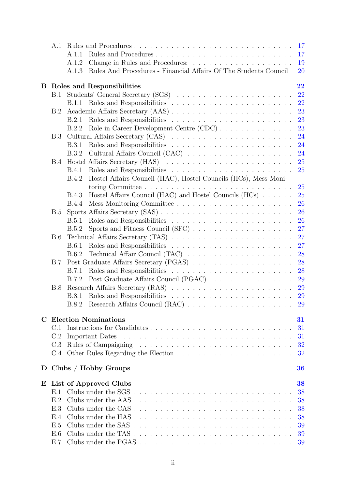|             | A.1                              |                                                                                              | 17        |  |  |
|-------------|----------------------------------|----------------------------------------------------------------------------------------------|-----------|--|--|
|             |                                  | A.1.1                                                                                        | 17        |  |  |
|             |                                  | A.1.2                                                                                        | 19        |  |  |
|             |                                  | Rules And Procedures - Financial Affairs Of The Students Council<br>A.1.3                    | 20        |  |  |
| B.          | 22<br>Roles and Responsibilities |                                                                                              |           |  |  |
|             | B.1                              | Students' General Secretary (SGS)                                                            | 22        |  |  |
|             |                                  |                                                                                              | 22        |  |  |
|             | B.2                              |                                                                                              | 23        |  |  |
|             |                                  | B.2.1                                                                                        | 23        |  |  |
|             |                                  | B.2.2                                                                                        | 23        |  |  |
|             | B.3                              |                                                                                              | 24        |  |  |
|             |                                  | <b>B.3.1</b>                                                                                 | 24        |  |  |
|             |                                  | B.3.2                                                                                        | 24        |  |  |
|             | B.4                              |                                                                                              | 25        |  |  |
|             |                                  | <b>B.4.1</b>                                                                                 | 25        |  |  |
|             |                                  | Hostel Affairs Council (HAC), Hostel Councils (HCs), Mess Moni-<br><b>B.4.2</b>              |           |  |  |
|             |                                  |                                                                                              | 25        |  |  |
|             |                                  | Hostel Affairs Council (HAC) and Hostel Councils (HCs) $\ldots \ldots$<br><b>B.4.3</b>       | 25        |  |  |
|             |                                  | <b>B.4.4</b>                                                                                 | 26        |  |  |
|             | B.5                              |                                                                                              | 26        |  |  |
|             |                                  | B.5.1                                                                                        | 26        |  |  |
|             |                                  | Sports and Fitness Council (SFC) $\ldots \ldots \ldots \ldots \ldots \ldots$<br><b>B.5.2</b> | 27        |  |  |
|             | <b>B.6</b>                       |                                                                                              | 27        |  |  |
|             |                                  | <b>B.6.1</b>                                                                                 | 27        |  |  |
|             |                                  | B.6.2                                                                                        | 28        |  |  |
|             | <b>B.7</b>                       |                                                                                              | 28        |  |  |
|             |                                  |                                                                                              | 28        |  |  |
|             |                                  | B.7.2                                                                                        | 29        |  |  |
|             | B.8                              |                                                                                              | 29        |  |  |
|             |                                  |                                                                                              | <b>29</b> |  |  |
|             |                                  |                                                                                              | <b>29</b> |  |  |
| $\mathbf C$ |                                  | <b>Election Nominations</b>                                                                  | 31        |  |  |
|             | C.1                              |                                                                                              | 31        |  |  |
|             | C.2                              |                                                                                              | 31        |  |  |
|             | C.3                              |                                                                                              | 32        |  |  |
|             |                                  |                                                                                              | 32        |  |  |
|             |                                  | D Clubs / Hobby Groups                                                                       | 36        |  |  |
| E           |                                  | List of Approved Clubs                                                                       | 38        |  |  |
|             | E.1                              |                                                                                              | 38        |  |  |
|             | E.2                              | Clubs under the AAS                                                                          | 38        |  |  |
|             | E.3                              |                                                                                              | 38        |  |  |
|             | E.4                              | Clubs under the HAS                                                                          | 38        |  |  |
|             | E.5                              |                                                                                              | 39        |  |  |
|             | E.6                              |                                                                                              | 39        |  |  |
|             | E.7                              |                                                                                              | 39        |  |  |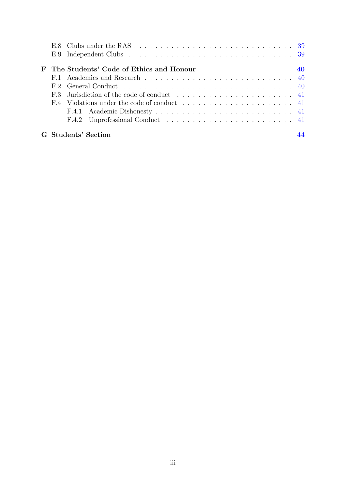| ${\bf F}$ | The Students' Code of Ethics and Honour |  |
|-----------|-----------------------------------------|--|
|           |                                         |  |
|           |                                         |  |
|           |                                         |  |
|           |                                         |  |
|           |                                         |  |
|           |                                         |  |
|           | G Students' Section                     |  |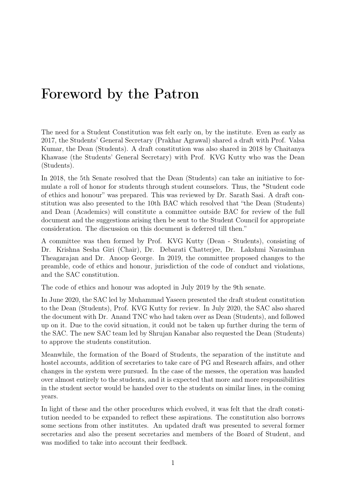# Foreword by the Patron

The need for a Student Constitution was felt early on, by the institute. Even as early as 2017, the Students' General Secretary (Prakhar Agrawal) shared a draft with Prof. Valsa Kumar, the Dean (Students). A draft constitution was also shared in 2018 by Chaitanya Khawase (the Students' General Secretary) with Prof. KVG Kutty who was the Dean (Students).

In 2018, the 5th Senate resolved that the Dean (Students) can take an initiative to formulate a roll of honor for students through student counselors. Thus, the "Student code of ethics and honour" was prepared. This was reviewed by Dr. Sarath Sasi. A draft constitution was also presented to the 10th BAC which resolved that "the Dean (Students) and Dean (Academics) will constitute a committee outside BAC for review of the full document and the suggestions arising then be sent to the Student Council for appropriate consideration. The discussion on this document is deferred till then."

A committee was then formed by Prof. KVG Kutty (Dean - Students), consisting of Dr. Krishna Sesha Giri (Chair), Dr. Debarati Chatterjee, Dr. Lakshmi Narasimhan Theagarajan and Dr. Anoop George. In 2019, the committee proposed changes to the preamble, code of ethics and honour, jurisdiction of the code of conduct and violations, and the SAC constitution.

The code of ethics and honour was adopted in July 2019 by the 9th senate.

In June 2020, the SAC led by Muhammad Yaseen presented the draft student constitution to the Dean (Students), Prof. KVG Kutty for review. In July 2020, the SAC also shared the document with Dr. Anand TNC who had taken over as Dean (Students), and followed up on it. Due to the covid situation, it could not be taken up further during the term of the SAC. The new SAC team led by Shrujan Kanabar also requested the Dean (Students) to approve the students constitution.

Meanwhile, the formation of the Board of Students, the separation of the institute and hostel accounts, addition of secretaries to take care of PG and Research affairs, and other changes in the system were pursued. In the case of the messes, the operation was handed over almost entirely to the students, and it is expected that more and more responsibilities in the student sector would be handed over to the students on similar lines, in the coming years.

In light of these and the other procedures which evolved, it was felt that the draft constitution needed to be expanded to reflect these aspirations. The constitution also borrows some sections from other institutes. An updated draft was presented to several former secretaries and also the present secretaries and members of the Board of Student, and was modified to take into account their feedback.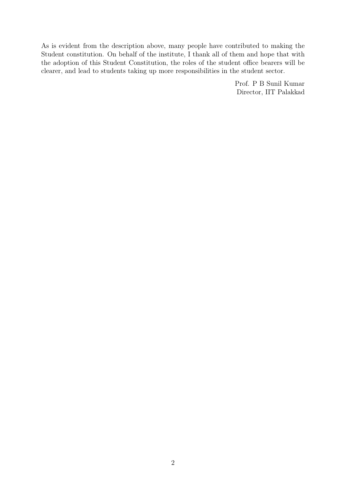As is evident from the description above, many people have contributed to making the Student constitution. On behalf of the institute, I thank all of them and hope that with the adoption of this Student Constitution, the roles of the student office bearers will be clearer, and lead to students taking up more responsibilities in the student sector.

> Prof. P B Sunil Kumar Director, IIT Palakkad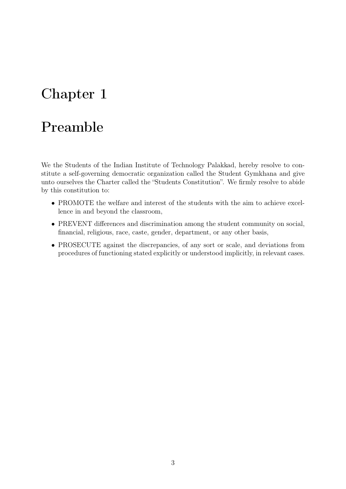# <span id="page-6-0"></span>Chapter 1

# Preamble

We the Students of the Indian Institute of Technology Palakkad, hereby resolve to constitute a self-governing democratic organization called the Student Gymkhana and give unto ourselves the Charter called the "Students Constitution". We firmly resolve to abide by this constitution to:

- PROMOTE the welfare and interest of the students with the aim to achieve excellence in and beyond the classroom,
- PREVENT differences and discrimination among the student community on social, financial, religious, race, caste, gender, department, or any other basis,
- PROSECUTE against the discrepancies, of any sort or scale, and deviations from procedures of functioning stated explicitly or understood implicitly, in relevant cases.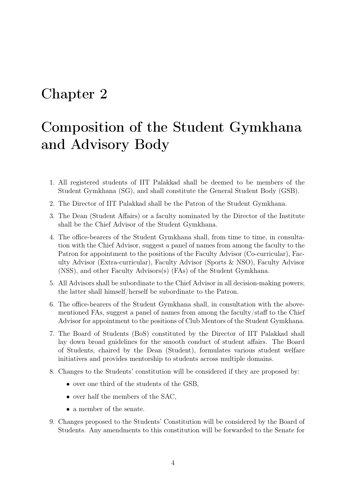# <span id="page-7-0"></span>Chapter 2

# Composition of the Student Gymkhana and Advisory Body

- 1. All registered students of IIT Palakkad shall be deemed to be members of the Student Gymkhana (SG), and shall constitute the General Student Body (GSB).
- 2. The Director of IIT Palakkad shall be the Patron of the Student Gymkhana.
- 3. The Dean (Student Affairs) or a faculty nominated by the Director of the Institute shall be the Chief Advisor of the Student Gymkhana.
- 4. The office-bearers of the Student Gymkhana shall, from time to time, in consultation with the Chief Advisor, suggest a panel of names from among the faculty to the Patron for appointment to the positions of the Faculty Advisor (Co-curricular), Faculty Advisor (Extra-curricular), Faculty Advisor (Sports & NSO), Faculty Advisor (NSS), and other Faculty Advisors(s) (FAs) of the Student Gymkhana.
- 5. All Advisors shall be subordinate to the Chief Advisor in all decision-making powers; the latter shall himself/herself be subordinate to the Patron.
- 6. The office-bearers of the Student Gymkhana shall, in consultation with the abovementioned FAs, suggest a panel of names from among the faculty/staff to the Chief Advisor for appointment to the positions of Club Mentors of the Student Gymkhana.
- 7. The Board of Students (BoS) constituted by the Director of IIT Palakkad shall lay down broad guidelines for the smooth conduct of student affairs. The Board of Students, chaired by the Dean (Student), formulates various student welfare initiatives and provides mentorship to students across multiple domains.
- 8. Changes to the Students' constitution will be considered if they are proposed by:
	- over one third of the students of the GSB,
	- over half the members of the SAC,
	- a member of the senate.
- 9. Changes proposed to the Students' Constitution will be considered by the Board of Students. Any amendments to this constitution will be forwarded to the Senate for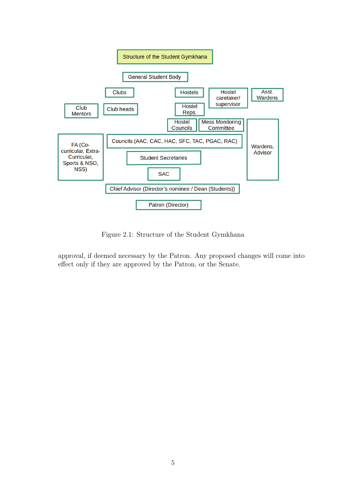

Figure 2.1: Structure of the Student Gymkhana

approval, if deemed necessary by the Patron. Any proposed changes will come into effect only if they are approved by the Patron, or the Senate.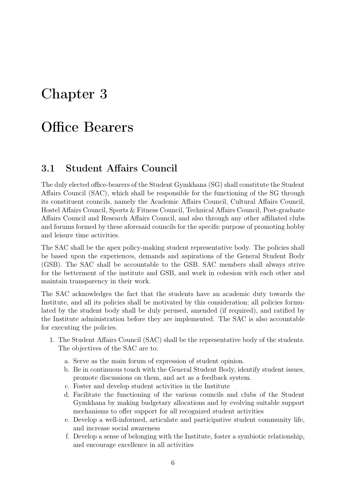# <span id="page-9-0"></span>Chapter 3

# Office Bearers

### <span id="page-9-1"></span>3.1 Student Affairs Council

The duly elected office-bearers of the Student Gymkhana (SG) shall constitute the Student Affairs Council (SAC), which shall be responsible for the functioning of the SG through its constituent councils, namely the Academic Affairs Council, Cultural Affairs Council, Hostel Affairs Council, Sports & Fitness Council, Technical Affairs Council, Post-graduate Affairs Council and Research Affairs Council, and also through any other affiliated clubs and forums formed by these aforesaid councils for the specific purpose of promoting hobby and leisure time activities.

The SAC shall be the apex policy-making student representative body. The policies shall be based upon the experiences, demands and aspirations of the General Student Body (GSB). The SAC shall be accountable to the GSB. SAC members shall always strive for the betterment of the institute and GSB, and work in cohesion with each other and maintain transparency in their work.

The SAC acknowledges the fact that the students have an academic duty towards the Institute, and all its policies shall be motivated by this consideration; all policies formulated by the student body shall be duly perused, amended (if required), and ratified by the Institute administration before they are implemented. The SAC is also accountable for executing the policies.

- 1. The Student Affairs Council (SAC) shall be the representative body of the students. The objectives of the SAC are to:
	- a. Serve as the main forum of expression of student opinion.
	- b. Be in continuous touch with the General Student Body, identify student issues, promote discussions on them, and act as a feedback system.
	- c. Foster and develop student activities in the Institute
	- d. Facilitate the functioning of the various councils and clubs of the Student Gymkhana by making budgetary allocations and by evolving suitable support mechanisms to offer support for all recognized student activities
	- e. Develop a well-informed, articulate and participative student community life, and increase social awareness
	- f. Develop a sense of belonging with the Institute, foster a symbiotic relationship, and encourage excellence in all activities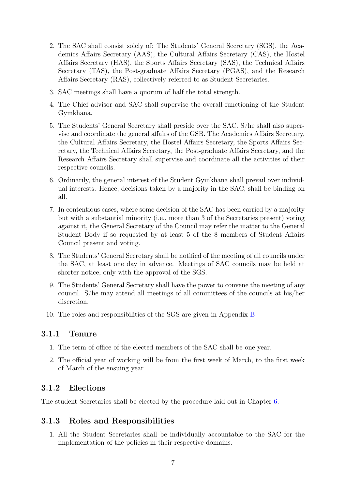- 2. The SAC shall consist solely of: The Students' General Secretary (SGS), the Academics Affairs Secretary (AAS), the Cultural Affairs Secretary (CAS), the Hostel Affairs Secretary (HAS), the Sports Affairs Secretary (SAS), the Technical Affairs Secretary (TAS), the Post-graduate Affairs Secretary (PGAS), and the Research Affairs Secretary (RAS), collectively referred to as Student Secretaries.
- 3. SAC meetings shall have a quorum of half the total strength.
- 4. The Chief advisor and SAC shall supervise the overall functioning of the Student Gymkhana.
- 5. The Students' General Secretary shall preside over the SAC. S/he shall also supervise and coordinate the general affairs of the GSB. The Academics Affairs Secretary, the Cultural Affairs Secretary, the Hostel Affairs Secretary, the Sports Affairs Secretary, the Technical Affairs Secretary, the Post-graduate Affairs Secretary, and the Research Affairs Secretary shall supervise and coordinate all the activities of their respective councils.
- 6. Ordinarily, the general interest of the Student Gymkhana shall prevail over individual interests. Hence, decisions taken by a majority in the SAC, shall be binding on all.
- 7. In contentious cases, where some decision of the SAC has been carried by a majority but with a substantial minority (i.e., more than 3 of the Secretaries present) voting against it, the General Secretary of the Council may refer the matter to the General Student Body if so requested by at least 5 of the 8 members of Student Affairs Council present and voting.
- 8. The Students' General Secretary shall be notified of the meeting of all councils under the SAC, at least one day in advance. Meetings of SAC councils may be held at shorter notice, only with the approval of the SGS.
- 9. The Students' General Secretary shall have the power to convene the meeting of any council. S/he may attend all meetings of all committees of the councils at his/her discretion.
- 10. The roles and responsibilities of the SGS are given in Appendix [B](#page-25-0)

#### <span id="page-10-0"></span>3.1.1 Tenure

- 1. The term of office of the elected members of the SAC shall be one year.
- 2. The official year of working will be from the first week of March, to the first week of March of the ensuing year.

#### <span id="page-10-1"></span>3.1.2 Elections

The student Secretaries shall be elected by the procedure laid out in Chapter [6.](#page-16-0)

### <span id="page-10-2"></span>3.1.3 Roles and Responsibilities

1. All the Student Secretaries shall be individually accountable to the SAC for the implementation of the policies in their respective domains.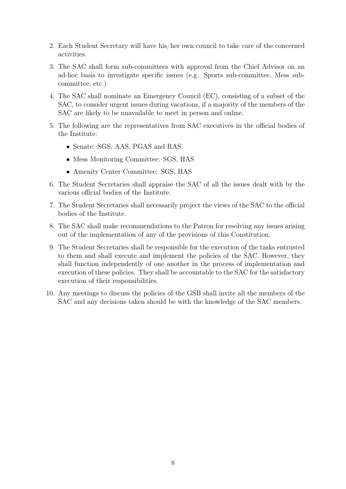- 2. Each Student Secretary will have his/her own council to take care of the concerned activities.
- 3. The SAC shall form sub-committees with approval from the Chief Advisor on an ad-hoc basis to investigate specific issues (e.g. Sports sub-committee, Mess subcommittee, etc.)
- 4. The SAC shall nominate an Emergency Council (EC), consisting of a subset of the SAC, to consider urgent issues during vacations, if a majority of the members of the SAC are likely to be unavailable to meet in person and online.
- 5. The following are the representatives from SAC executives in the official bodies of the Institute:
	- Senate: SGS, AAS, PGAS and RAS
	- Mess Monitoring Committee: SGS, HAS
	- Amenity Center Committee: SGS, HAS
- 6. The Student Secretaries shall appraise the SAC of all the issues dealt with by the various official bodies of the Institute.
- 7. The Student Secretaries shall necessarily project the views of the SAC to the official bodies of the Institute.
- 8. The SAC shall make recommendations to the Patron for resolving any issues arising out of the implementation of any of the provisions of this Constitution.
- 9. The Student Secretaries shall be responsible for the execution of the tasks entrusted to them and shall execute and implement the policies of the SAC. However, they shall function independently of one another in the process of implementation and execution of these policies. They shall be accountable to the SAC for the satisfactory execution of their responsibilities.
- 10. Any meetings to discuss the policies of the GSB shall invite all the members of the SAC and any decisions taken should be with the knowledge of the SAC members.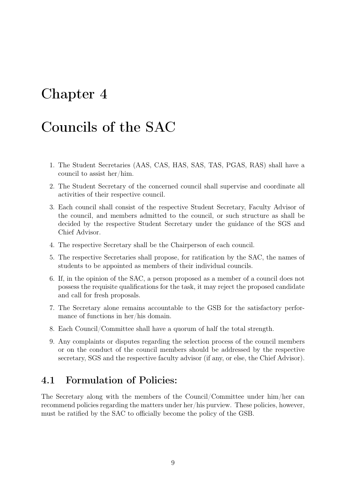# <span id="page-12-0"></span>Chapter 4

# Councils of the SAC

- 1. The Student Secretaries (AAS, CAS, HAS, SAS, TAS, PGAS, RAS) shall have a council to assist her/him.
- 2. The Student Secretary of the concerned council shall supervise and coordinate all activities of their respective council.
- 3. Each council shall consist of the respective Student Secretary, Faculty Advisor of the council, and members admitted to the council, or such structure as shall be decided by the respective Student Secretary under the guidance of the SGS and Chief Advisor.
- 4. The respective Secretary shall be the Chairperson of each council.
- 5. The respective Secretaries shall propose, for ratification by the SAC, the names of students to be appointed as members of their individual councils.
- 6. If, in the opinion of the SAC, a person proposed as a member of a council does not possess the requisite qualifications for the task, it may reject the proposed candidate and call for fresh proposals.
- 7. The Secretary alone remains accountable to the GSB for the satisfactory performance of functions in her/his domain.
- 8. Each Council/Committee shall have a quorum of half the total strength.
- 9. Any complaints or disputes regarding the selection process of the council members or on the conduct of the council members should be addressed by the respective secretary, SGS and the respective faculty advisor (if any, or else, the Chief Advisor).

### <span id="page-12-1"></span>4.1 Formulation of Policies:

The Secretary along with the members of the Council/Committee under him/her can recommend policies regarding the matters under her/his purview. These policies, however, must be ratified by the SAC to officially become the policy of the GSB.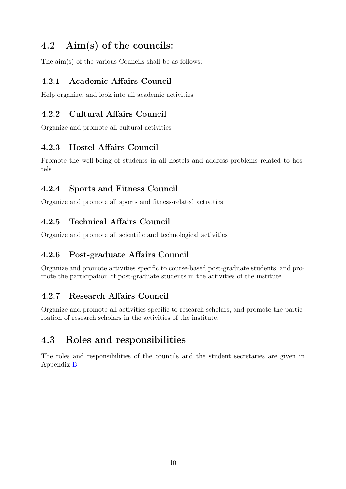# <span id="page-13-0"></span>4.2 Aim(s) of the councils:

The aim(s) of the various Councils shall be as follows:

### <span id="page-13-1"></span>4.2.1 Academic Affairs Council

Help organize, and look into all academic activities

### <span id="page-13-2"></span>4.2.2 Cultural Affairs Council

Organize and promote all cultural activities

### <span id="page-13-3"></span>4.2.3 Hostel Affairs Council

Promote the well-being of students in all hostels and address problems related to hostels

### <span id="page-13-4"></span>4.2.4 Sports and Fitness Council

Organize and promote all sports and fitness-related activities

### <span id="page-13-5"></span>4.2.5 Technical Affairs Council

Organize and promote all scientific and technological activities

### <span id="page-13-6"></span>4.2.6 Post-graduate Affairs Council

Organize and promote activities specific to course-based post-graduate students, and promote the participation of post-graduate students in the activities of the institute.

### <span id="page-13-7"></span>4.2.7 Research Affairs Council

Organize and promote all activities specific to research scholars, and promote the participation of research scholars in the activities of the institute.

## <span id="page-13-8"></span>4.3 Roles and responsibilities

The roles and responsibilities of the councils and the student secretaries are given in Appendix [B](#page-25-0)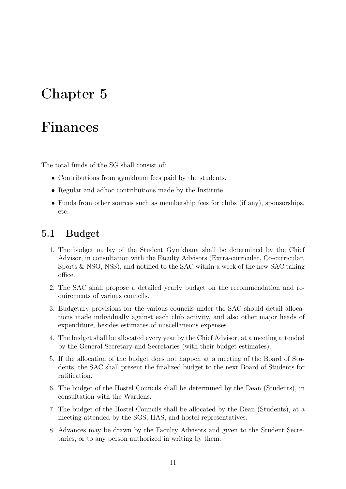# <span id="page-14-0"></span>Chapter 5

# Finances

The total funds of the SG shall consist of:

- Contributions from gymkhana fees paid by the students.
- Regular and adhoc contributions made by the Institute.
- Funds from other sources such as membership fees for clubs (if any), sponsorships, etc.

### <span id="page-14-1"></span>5.1 Budget

- 1. The budget outlay of the Student Gymkhana shall be determined by the Chief Advisor, in consultation with the Faculty Advisors (Extra-curricular, Co-curricular, Sports & NSO, NSS), and notified to the SAC within a week of the new SAC taking office.
- 2. The SAC shall propose a detailed yearly budget on the recommendation and requirements of various councils.
- 3. Budgetary provisions for the various councils under the SAC should detail allocations made individually against each club activity, and also other major heads of expenditure, besides estimates of miscellaneous expenses.
- 4. The budget shall be allocated every year by the Chief Advisor, at a meeting attended by the General Secretary and Secretaries (with their budget estimates).
- 5. If the allocation of the budget does not happen at a meeting of the Board of Students, the SAC shall present the finalized budget to the next Board of Students for ratification.
- 6. The budget of the Hostel Councils shall be determined by the Dean (Students), in consultation with the Wardens.
- 7. The budget of the Hostel Councils shall be allocated by the Dean (Students), at a meeting attended by the SGS, HAS, and hostel representatives.
- 8. Advances may be drawn by the Faculty Advisors and given to the Student Secretaries, or to any person authorized in writing by them.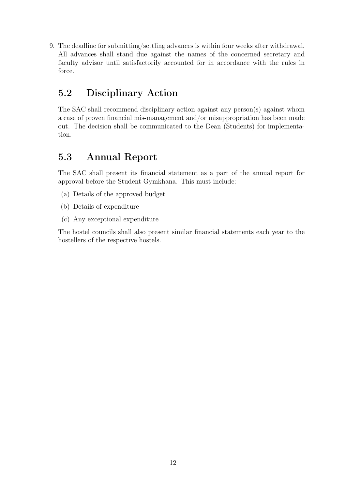9. The deadline for submitting/settling advances is within four weeks after withdrawal. All advances shall stand due against the names of the concerned secretary and faculty advisor until satisfactorily accounted for in accordance with the rules in force.

## <span id="page-15-0"></span>5.2 Disciplinary Action

The SAC shall recommend disciplinary action against any person(s) against whom a case of proven financial mis-management and/or misappropriation has been made out. The decision shall be communicated to the Dean (Students) for implementation.

## <span id="page-15-1"></span>5.3 Annual Report

The SAC shall present its financial statement as a part of the annual report for approval before the Student Gymkhana. This must include:

- (a) Details of the approved budget
- (b) Details of expenditure
- (c) Any exceptional expenditure

The hostel councils shall also present similar financial statements each year to the hostellers of the respective hostels.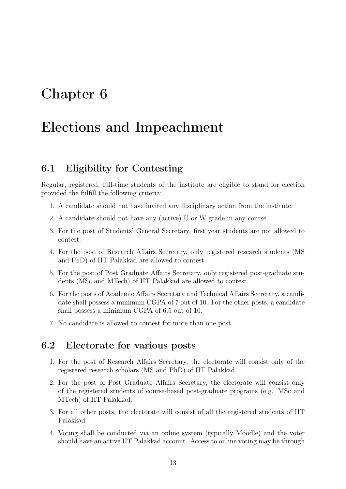# <span id="page-16-0"></span>Chapter 6

# Elections and Impeachment

### <span id="page-16-1"></span>6.1 Eligibility for Contesting

Regular, registered, full-time students of the institute are eligible to stand for election provided the fulfill the following criteria:

- 1. A candidate should not have invited any disciplinary action from the institute.
- 2. A candidate should not have any (active) U or W grade in any course.
- 3. For the post of Students' General Secretary, first year students are not allowed to contest.
- 4. For the post of Research Affairs Secretary, only registered research students (MS and PhD) of IIT Palakkad are allowed to contest.
- 5. For the post of Post Graduate Affairs Secretary, only registered post-graduate students (MSc and MTech) of IIT Palakkad are allowed to contest.
- 6. For the posts of Academic Affairs Secretary and Technical Affairs Secretary, a candidate shall possess a minimum CGPA of 7 out of 10. For the other posts, a candidate shall possess a minimum CGPA of 6.5 out of 10.
- 7. No candidate is allowed to contest for more than one post.

### <span id="page-16-2"></span>6.2 Electorate for various posts

- 1. For the post of Research Affairs Secretary, the electorate will consist only of the registered research scholars (MS and PhD) of IIT Palakkad.
- 2. For the post of Post Graduate Affairs Secretary, the electorate will consist only of the registered students of course-based post-graduate programs (e.g. MSc and MTech) of IIT Palakkad.
- 3. For all other posts, the electorate will consist of all the registered students of IIT Palakkad.
- 4. Voting shall be conducted via an online system (typically Moodle) and the voter should have an active IIT Palakkad account. Access to online voting may be through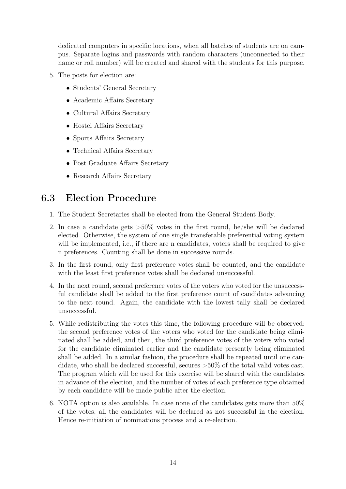dedicated computers in specific locations, when all batches of students are on campus. Separate logins and passwords with random characters (unconnected to their name or roll number) will be created and shared with the students for this purpose.

- 5. The posts for election are:
	- Students' General Secretary
	- Academic Affairs Secretary
	- Cultural Affairs Secretary
	- Hostel Affairs Secretary
	- Sports Affairs Secretary
	- Technical Affairs Secretary
	- Post Graduate Affairs Secretary
	- Research Affairs Secretary

## <span id="page-17-0"></span>6.3 Election Procedure

- 1. The Student Secretaries shall be elected from the General Student Body.
- 2. In case a candidate gets  $>50\%$  votes in the first round, he/she will be declared elected. Otherwise, the system of one single transferable preferential voting system will be implemented, i.e., if there are n candidates, voters shall be required to give n preferences. Counting shall be done in successive rounds.
- 3. In the first round, only first preference votes shall be counted, and the candidate with the least first preference votes shall be declared unsuccessful.
- 4. In the next round, second preference votes of the voters who voted for the unsuccessful candidate shall be added to the first preference count of candidates advancing to the next round. Again, the candidate with the lowest tally shall be declared unsuccessful.
- 5. While redistributing the votes this time, the following procedure will be observed: the second preference votes of the voters who voted for the candidate being eliminated shall be added, and then, the third preference votes of the voters who voted for the candidate eliminated earlier and the candidate presently being eliminated shall be added. In a similar fashion, the procedure shall be repeated until one candidate, who shall be declared successful, secures >50% of the total valid votes cast. The program which will be used for this exercise will be shared with the candidates in advance of the election, and the number of votes of each preference type obtained by each candidate will be made public after the election.
- 6. NOTA option is also available. In case none of the candidates gets more than 50% of the votes, all the candidates will be declared as not successful in the election. Hence re-initiation of nominations process and a re-election.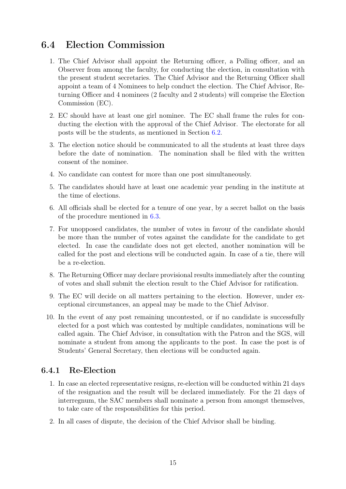## <span id="page-18-0"></span>6.4 Election Commission

- 1. The Chief Advisor shall appoint the Returning officer, a Polling officer, and an Observer from among the faculty, for conducting the election, in consultation with the present student secretaries. The Chief Advisor and the Returning Officer shall appoint a team of 4 Nominees to help conduct the election. The Chief Advisor, Returning Officer and 4 nominees (2 faculty and 2 students) will comprise the Election Commission (EC).
- 2. EC should have at least one girl nominee. The EC shall frame the rules for conducting the election with the approval of the Chief Advisor. The electorate for all posts will be the students, as mentioned in Section [6.2.](#page-16-2)
- 3. The election notice should be communicated to all the students at least three days before the date of nomination. The nomination shall be filed with the written consent of the nominee.
- 4. No candidate can contest for more than one post simultaneously.
- 5. The candidates should have at least one academic year pending in the institute at the time of elections.
- 6. All officials shall be elected for a tenure of one year, by a secret ballot on the basis of the procedure mentioned in [6.3.](#page-17-0)
- 7. For unopposed candidates, the number of votes in favour of the candidate should be more than the number of votes against the candidate for the candidate to get elected. In case the candidate does not get elected, another nomination will be called for the post and elections will be conducted again. In case of a tie, there will be a re-election.
- 8. The Returning Officer may declare provisional results immediately after the counting of votes and shall submit the election result to the Chief Advisor for ratification.
- 9. The EC will decide on all matters pertaining to the election. However, under exceptional circumstances, an appeal may be made to the Chief Advisor.
- 10. In the event of any post remaining uncontested, or if no candidate is successfully elected for a post which was contested by multiple candidates, nominations will be called again. The Chief Advisor, in consultation with the Patron and the SGS, will nominate a student from among the applicants to the post. In case the post is of Students' General Secretary, then elections will be conducted again.

#### <span id="page-18-1"></span>6.4.1 Re-Election

- 1. In case an elected representative resigns, re-election will be conducted within 21 days of the resignation and the result will be declared immediately. For the 21 days of interregnum, the SAC members shall nominate a person from amongst themselves, to take care of the responsibilities for this period.
- 2. In all cases of dispute, the decision of the Chief Advisor shall be binding.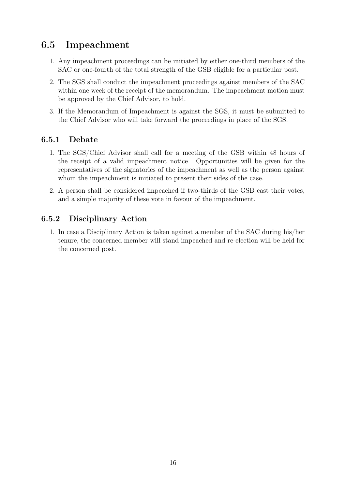## <span id="page-19-0"></span>6.5 Impeachment

- 1. Any impeachment proceedings can be initiated by either one-third members of the SAC or one-fourth of the total strength of the GSB eligible for a particular post.
- 2. The SGS shall conduct the impeachment proceedings against members of the SAC within one week of the receipt of the memorandum. The impeachment motion must be approved by the Chief Advisor, to hold.
- 3. If the Memorandum of Impeachment is against the SGS, it must be submitted to the Chief Advisor who will take forward the proceedings in place of the SGS.

### <span id="page-19-1"></span>6.5.1 Debate

- 1. The SGS/Chief Advisor shall call for a meeting of the GSB within 48 hours of the receipt of a valid impeachment notice. Opportunities will be given for the representatives of the signatories of the impeachment as well as the person against whom the impeachment is initiated to present their sides of the case.
- 2. A person shall be considered impeached if two-thirds of the GSB cast their votes, and a simple majority of these vote in favour of the impeachment.

### <span id="page-19-2"></span>6.5.2 Disciplinary Action

1. In case a Disciplinary Action is taken against a member of the SAC during his/her tenure, the concerned member will stand impeached and re-election will be held for the concerned post.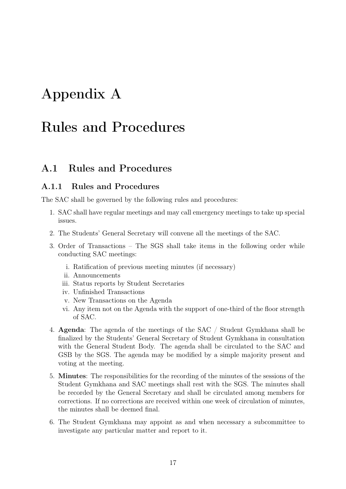# <span id="page-20-0"></span>Appendix A

# Rules and Procedures

### <span id="page-20-1"></span>A.1 Rules and Procedures

#### <span id="page-20-2"></span>A.1.1 Rules and Procedures

The SAC shall be governed by the following rules and procedures:

- 1. SAC shall have regular meetings and may call emergency meetings to take up special issues.
- 2. The Students' General Secretary will convene all the meetings of the SAC.
- 3. Order of Transactions The SGS shall take items in the following order while conducting SAC meetings:
	- i. Ratification of previous meeting minutes (if necessary)
	- ii. Announcements
	- iii. Status reports by Student Secretaries
	- iv. Unfinished Transactions
	- v. New Transactions on the Agenda
	- vi. Any item not on the Agenda with the support of one-third of the floor strength of SAC.
- 4. Agenda: The agenda of the meetings of the SAC / Student Gymkhana shall be finalized by the Students' General Secretary of Student Gymkhana in consultation with the General Student Body. The agenda shall be circulated to the SAC and GSB by the SGS. The agenda may be modified by a simple majority present and voting at the meeting.
- 5. Minutes: The responsibilities for the recording of the minutes of the sessions of the Student Gymkhana and SAC meetings shall rest with the SGS. The minutes shall be recorded by the General Secretary and shall be circulated among members for corrections. If no corrections are received within one week of circulation of minutes, the minutes shall be deemed final.
- 6. The Student Gymkhana may appoint as and when necessary a subcommittee to investigate any particular matter and report to it.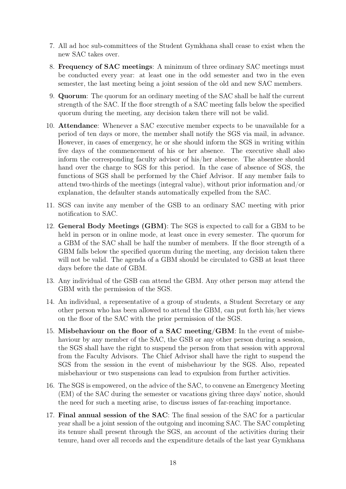- 7. All ad hoc sub-committees of the Student Gymkhana shall cease to exist when the new SAC takes over.
- 8. Frequency of SAC meetings: A minimum of three ordinary SAC meetings must be conducted every year: at least one in the odd semester and two in the even semester, the last meeting being a joint session of the old and new SAC members.
- 9. Quorum: The quorum for an ordinary meeting of the SAC shall be half the current strength of the SAC. If the floor strength of a SAC meeting falls below the specified quorum during the meeting, any decision taken there will not be valid.
- 10. Attendance: Whenever a SAC executive member expects to be unavailable for a period of ten days or more, the member shall notify the SGS via mail, in advance. However, in cases of emergency, he or she should inform the SGS in writing within five days of the commencement of his or her absence. The executive shall also inform the corresponding faculty advisor of his/her absence. The absentee should hand over the charge to SGS for this period. In the case of absence of SGS, the functions of SGS shall be performed by the Chief Advisor. If any member fails to attend two-thirds of the meetings (integral value), without prior information and/or explanation, the defaulter stands automatically expelled from the SAC.
- 11. SGS can invite any member of the GSB to an ordinary SAC meeting with prior notification to SAC.
- 12. General Body Meetings (GBM): The SGS is expected to call for a GBM to be held in person or in online mode, at least once in every semester. The quorum for a GBM of the SAC shall be half the number of members. If the floor strength of a GBM falls below the specified quorum during the meeting, any decision taken there will not be valid. The agenda of a GBM should be circulated to GSB at least three days before the date of GBM.
- 13. Any individual of the GSB can attend the GBM. Any other person may attend the GBM with the permission of the SGS.
- 14. An individual, a representative of a group of students, a Student Secretary or any other person who has been allowed to attend the GBM, can put forth his/her views on the floor of the SAC with the prior permission of the SGS.
- 15. Misbehaviour on the floor of a SAC meeting/GBM: In the event of misbehaviour by any member of the SAC, the GSB or any other person during a session, the SGS shall have the right to suspend the person from that session with approval from the Faculty Advisors. The Chief Advisor shall have the right to suspend the SGS from the session in the event of misbehaviour by the SGS. Also, repeated misbehaviour or two suspensions can lead to expulsion from further activities.
- 16. The SGS is empowered, on the advice of the SAC, to convene an Emergency Meeting (EM) of the SAC during the semester or vacations giving three days' notice, should the need for such a meeting arise, to discuss issues of far-reaching importance.
- 17. Final annual session of the SAC: The final session of the SAC for a particular year shall be a joint session of the outgoing and incoming SAC. The SAC completing its tenure shall present through the SGS, an account of the activities during their tenure, hand over all records and the expenditure details of the last year Gymkhana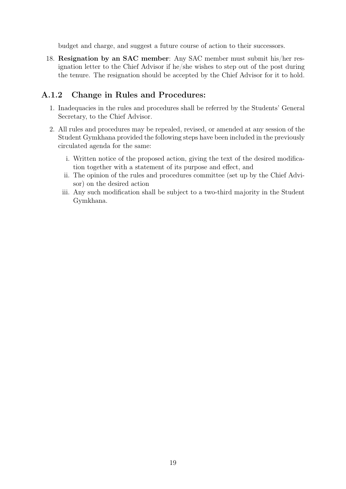budget and charge, and suggest a future course of action to their successors.

18. Resignation by an SAC member: Any SAC member must submit his/her resignation letter to the Chief Advisor if he/she wishes to step out of the post during the tenure. The resignation should be accepted by the Chief Advisor for it to hold.

#### <span id="page-22-0"></span>A.1.2 Change in Rules and Procedures:

- 1. Inadequacies in the rules and procedures shall be referred by the Students' General Secretary, to the Chief Advisor.
- 2. All rules and procedures may be repealed, revised, or amended at any session of the Student Gymkhana provided the following steps have been included in the previously circulated agenda for the same:
	- i. Written notice of the proposed action, giving the text of the desired modification together with a statement of its purpose and effect, and
	- ii. The opinion of the rules and procedures committee (set up by the Chief Advisor) on the desired action
	- iii. Any such modification shall be subject to a two-third majority in the Student Gymkhana.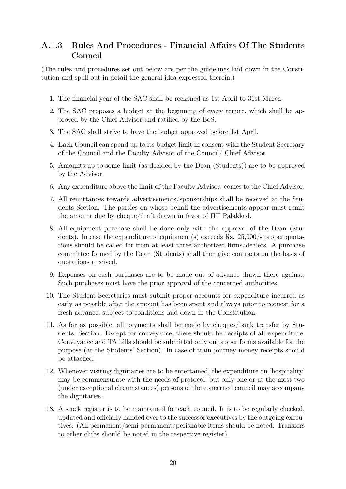### <span id="page-23-0"></span>A.1.3 Rules And Procedures - Financial Affairs Of The Students Council

(The rules and procedures set out below are per the guidelines laid down in the Constitution and spell out in detail the general idea expressed therein.)

- 1. The financial year of the SAC shall be reckoned as 1st April to 31st March.
- 2. The SAC proposes a budget at the beginning of every tenure, which shall be approved by the Chief Advisor and ratified by the BoS.
- 3. The SAC shall strive to have the budget approved before 1st April.
- 4. Each Council can spend up to its budget limit in consent with the Student Secretary of the Council and the Faculty Advisor of the Council/ Chief Advisor
- 5. Amounts up to some limit (as decided by the Dean (Students)) are to be approved by the Advisor.
- 6. Any expenditure above the limit of the Faculty Advisor, comes to the Chief Advisor.
- 7. All remittances towards advertisements/sponsorships shall be received at the Students Section. The parties on whose behalf the advertisements appear must remit the amount due by cheque/draft drawn in favor of IIT Palakkad.
- 8. All equipment purchase shall be done only with the approval of the Dean (Students). In case the expenditure of equipment(s) exceeds Rs. 25,000/- proper quotations should be called for from at least three authorized firms/dealers. A purchase committee formed by the Dean (Students) shall then give contracts on the basis of quotations received.
- 9. Expenses on cash purchases are to be made out of advance drawn there against. Such purchases must have the prior approval of the concerned authorities.
- 10. The Student Secretaries must submit proper accounts for expenditure incurred as early as possible after the amount has been spent and always prior to request for a fresh advance, subject to conditions laid down in the Constitution.
- 11. As far as possible, all payments shall be made by cheques/bank transfer by Students' Section. Except for conveyance, there should be receipts of all expenditure. Conveyance and TA bills should be submitted only on proper forms available for the purpose (at the Students' Section). In case of train journey money receipts should be attached.
- 12. Whenever visiting dignitaries are to be entertained, the expenditure on 'hospitality' may be commensurate with the needs of protocol, but only one or at the most two (under exceptional circumstances) persons of the concerned council may accompany the dignitaries.
- 13. A stock register is to be maintained for each council. It is to be regularly checked, updated and officially handed over to the successor executives by the outgoing executives. (All permanent/semi-permanent/perishable items should be noted. Transfers to other clubs should be noted in the respective register).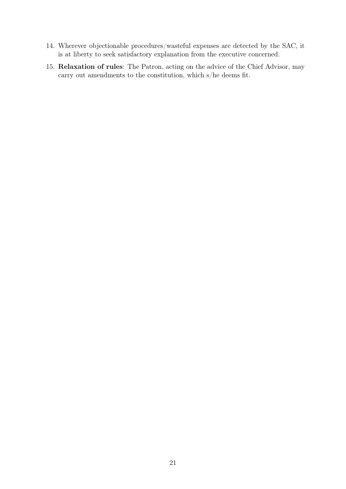- 14. Wherever objectionable procedures/wasteful expenses are detected by the SAC, it is at liberty to seek satisfactory explanation from the executive concerned.
- 15. Relaxation of rules: The Patron, acting on the advice of the Chief Advisor, may carry out amendments to the constitution, which s/he deems fit.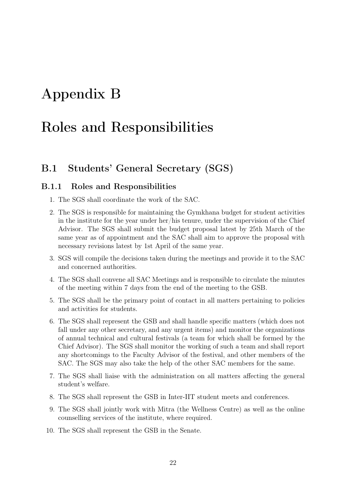# <span id="page-25-0"></span>Appendix B

# Roles and Responsibilities

### <span id="page-25-1"></span>B.1 Students' General Secretary (SGS)

#### <span id="page-25-2"></span>B.1.1 Roles and Responsibilities

- 1. The SGS shall coordinate the work of the SAC.
- 2. The SGS is responsible for maintaining the Gymkhana budget for student activities in the institute for the year under her/his tenure, under the supervision of the Chief Advisor. The SGS shall submit the budget proposal latest by 25th March of the same year as of appointment and the SAC shall aim to approve the proposal with necessary revisions latest by 1st April of the same year.
- 3. SGS will compile the decisions taken during the meetings and provide it to the SAC and concerned authorities.
- 4. The SGS shall convene all SAC Meetings and is responsible to circulate the minutes of the meeting within 7 days from the end of the meeting to the GSB.
- 5. The SGS shall be the primary point of contact in all matters pertaining to policies and activities for students.
- 6. The SGS shall represent the GSB and shall handle specific matters (which does not fall under any other secretary, and any urgent items) and monitor the organizations of annual technical and cultural festivals (a team for which shall be formed by the Chief Advisor). The SGS shall monitor the working of such a team and shall report any shortcomings to the Faculty Advisor of the festival, and other members of the SAC. The SGS may also take the help of the other SAC members for the same.
- 7. The SGS shall liaise with the administration on all matters affecting the general student's welfare.
- 8. The SGS shall represent the GSB in Inter-IIT student meets and conferences.
- 9. The SGS shall jointly work with Mitra (the Wellness Centre) as well as the online counselling services of the institute, where required.
- 10. The SGS shall represent the GSB in the Senate.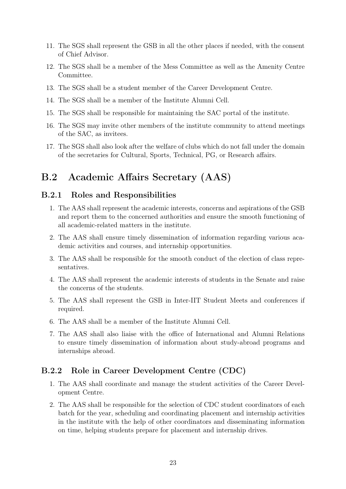- 11. The SGS shall represent the GSB in all the other places if needed, with the consent of Chief Advisor.
- 12. The SGS shall be a member of the Mess Committee as well as the Amenity Centre Committee.
- 13. The SGS shall be a student member of the Career Development Centre.
- 14. The SGS shall be a member of the Institute Alumni Cell.
- 15. The SGS shall be responsible for maintaining the SAC portal of the institute.
- 16. The SGS may invite other members of the institute community to attend meetings of the SAC, as invitees.
- 17. The SGS shall also look after the welfare of clubs which do not fall under the domain of the secretaries for Cultural, Sports, Technical, PG, or Research affairs.

## <span id="page-26-0"></span>B.2 Academic Affairs Secretary (AAS)

#### <span id="page-26-1"></span>B.2.1 Roles and Responsibilities

- 1. The AAS shall represent the academic interests, concerns and aspirations of the GSB and report them to the concerned authorities and ensure the smooth functioning of all academic-related matters in the institute.
- 2. The AAS shall ensure timely dissemination of information regarding various academic activities and courses, and internship opportunities.
- 3. The AAS shall be responsible for the smooth conduct of the election of class representatives.
- 4. The AAS shall represent the academic interests of students in the Senate and raise the concerns of the students.
- 5. The AAS shall represent the GSB in Inter-IIT Student Meets and conferences if required.
- 6. The AAS shall be a member of the Institute Alumni Cell.
- 7. The AAS shall also liaise with the office of International and Alumni Relations to ensure timely dissemination of information about study-abroad programs and internships abroad.

#### <span id="page-26-2"></span>B.2.2 Role in Career Development Centre (CDC)

- 1. The AAS shall coordinate and manage the student activities of the Career Development Centre.
- 2. The AAS shall be responsible for the selection of CDC student coordinators of each batch for the year, scheduling and coordinating placement and internship activities in the institute with the help of other coordinators and disseminating information on time, helping students prepare for placement and internship drives.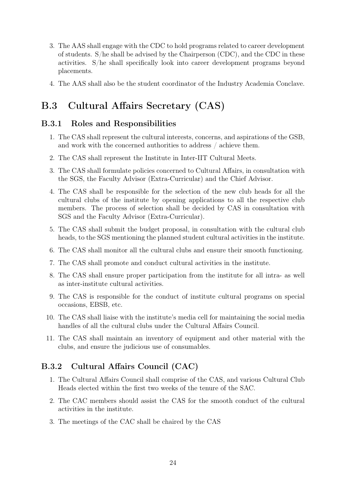- 3. The AAS shall engage with the CDC to hold programs related to career development of students. S/he shall be advised by the Chairperson (CDC), and the CDC in these activities. S/he shall specifically look into career development programs beyond placements.
- 4. The AAS shall also be the student coordinator of the Industry Academia Conclave.

## <span id="page-27-0"></span>B.3 Cultural Affairs Secretary (CAS)

#### <span id="page-27-1"></span>B.3.1 Roles and Responsibilities

- 1. The CAS shall represent the cultural interests, concerns, and aspirations of the GSB, and work with the concerned authorities to address / achieve them.
- 2. The CAS shall represent the Institute in Inter-IIT Cultural Meets.
- 3. The CAS shall formulate policies concerned to Cultural Affairs, in consultation with the SGS, the Faculty Advisor (Extra-Curricular) and the Chief Advisor.
- 4. The CAS shall be responsible for the selection of the new club heads for all the cultural clubs of the institute by opening applications to all the respective club members. The process of selection shall be decided by CAS in consultation with SGS and the Faculty Advisor (Extra-Curricular).
- 5. The CAS shall submit the budget proposal, in consultation with the cultural club heads, to the SGS mentioning the planned student cultural activities in the institute.
- 6. The CAS shall monitor all the cultural clubs and ensure their smooth functioning.
- 7. The CAS shall promote and conduct cultural activities in the institute.
- 8. The CAS shall ensure proper participation from the institute for all intra- as well as inter-institute cultural activities.
- 9. The CAS is responsible for the conduct of institute cultural programs on special occasions, EBSB, etc.
- 10. The CAS shall liaise with the institute's media cell for maintaining the social media handles of all the cultural clubs under the Cultural Affairs Council.
- 11. The CAS shall maintain an inventory of equipment and other material with the clubs, and ensure the judicious use of consumables.

### <span id="page-27-2"></span>B.3.2 Cultural Affairs Council (CAC)

- 1. The Cultural Affairs Council shall comprise of the CAS, and various Cultural Club Heads elected within the first two weeks of the tenure of the SAC.
- 2. The CAC members should assist the CAS for the smooth conduct of the cultural activities in the institute.
- 3. The meetings of the CAC shall be chaired by the CAS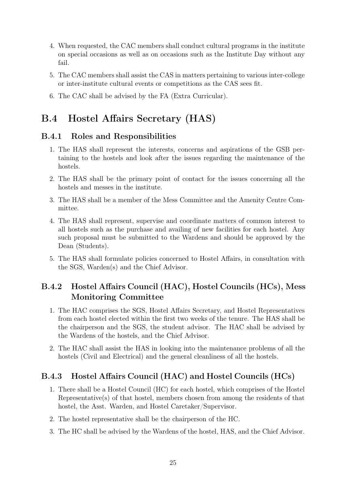- 4. When requested, the CAC members shall conduct cultural programs in the institute on special occasions as well as on occasions such as the Institute Day without any fail.
- 5. The CAC members shall assist the CAS in matters pertaining to various inter-college or inter-institute cultural events or competitions as the CAS sees fit.
- 6. The CAC shall be advised by the FA (Extra Curricular).

## <span id="page-28-0"></span>B.4 Hostel Affairs Secretary (HAS)

#### <span id="page-28-1"></span>B.4.1 Roles and Responsibilities

- 1. The HAS shall represent the interests, concerns and aspirations of the GSB pertaining to the hostels and look after the issues regarding the maintenance of the hostels.
- 2. The HAS shall be the primary point of contact for the issues concerning all the hostels and messes in the institute.
- 3. The HAS shall be a member of the Mess Committee and the Amenity Centre Committee.
- 4. The HAS shall represent, supervise and coordinate matters of common interest to all hostels such as the purchase and availing of new facilities for each hostel. Any such proposal must be submitted to the Wardens and should be approved by the Dean (Students).
- 5. The HAS shall formulate policies concerned to Hostel Affairs, in consultation with the SGS, Warden(s) and the Chief Advisor.

### <span id="page-28-2"></span>B.4.2 Hostel Affairs Council (HAC), Hostel Councils (HCs), Mess Monitoring Committee

- 1. The HAC comprises the SGS, Hostel Affairs Secretary, and Hostel Representatives from each hostel elected within the first two weeks of the tenure. The HAS shall be the chairperson and the SGS, the student advisor. The HAC shall be advised by the Wardens of the hostels, and the Chief Advisor.
- 2. The HAC shall assist the HAS in looking into the maintenance problems of all the hostels (Civil and Electrical) and the general cleanliness of all the hostels.

### <span id="page-28-3"></span>B.4.3 Hostel Affairs Council (HAC) and Hostel Councils (HCs)

- 1. There shall be a Hostel Council (HC) for each hostel, which comprises of the Hostel Representative(s) of that hostel, members chosen from among the residents of that hostel, the Asst. Warden, and Hostel Caretaker/Supervisor.
- 2. The hostel representative shall be the chairperson of the HC.
- 3. The HC shall be advised by the Wardens of the hostel, HAS, and the Chief Advisor.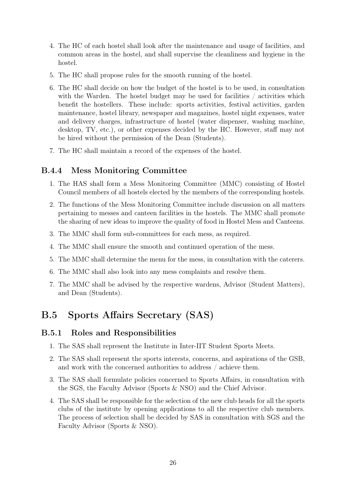- 4. The HC of each hostel shall look after the maintenance and usage of facilities, and common areas in the hostel, and shall supervise the cleanliness and hygiene in the hostel.
- 5. The HC shall propose rules for the smooth running of the hostel.
- 6. The HC shall decide on how the budget of the hostel is to be used, in consultation with the Warden. The hostel budget may be used for facilities / activities which benefit the hostellers. These include: sports activities, festival activities, garden maintenance, hostel library, newspaper and magazines, hostel night expenses, water and delivery charges, infrastructure of hostel (water dispenser, washing machine, desktop, TV, etc.), or other expenses decided by the HC. However, staff may not be hired without the permission of the Dean (Students).
- 7. The HC shall maintain a record of the expenses of the hostel.

#### <span id="page-29-0"></span>B.4.4 Mess Monitoring Committee

- 1. The HAS shall form a Mess Monitoring Committee (MMC) consisting of Hostel Council members of all hostels elected by the members of the corresponding hostels.
- 2. The functions of the Mess Monitoring Committee include discussion on all matters pertaining to messes and canteen facilities in the hostels. The MMC shall promote the sharing of new ideas to improve the quality of food in Hostel Mess and Canteens.
- 3. The MMC shall form sub-committees for each mess, as required.
- 4. The MMC shall ensure the smooth and continued operation of the mess.
- 5. The MMC shall determine the menu for the mess, in consultation with the caterers.
- 6. The MMC shall also look into any mess complaints and resolve them.
- 7. The MMC shall be advised by the respective wardens, Advisor (Student Matters), and Dean (Students).

## <span id="page-29-1"></span>B.5 Sports Affairs Secretary (SAS)

#### <span id="page-29-2"></span>B.5.1 Roles and Responsibilities

- 1. The SAS shall represent the Institute in Inter-IIT Student Sports Meets.
- 2. The SAS shall represent the sports interests, concerns, and aspirations of the GSB, and work with the concerned authorities to address / achieve them.
- 3. The SAS shall formulate policies concerned to Sports Affairs, in consultation with the SGS, the Faculty Advisor (Sports & NSO) and the Chief Advisor.
- 4. The SAS shall be responsible for the selection of the new club heads for all the sports clubs of the institute by opening applications to all the respective club members. The process of selection shall be decided by SAS in consultation with SGS and the Faculty Advisor (Sports & NSO).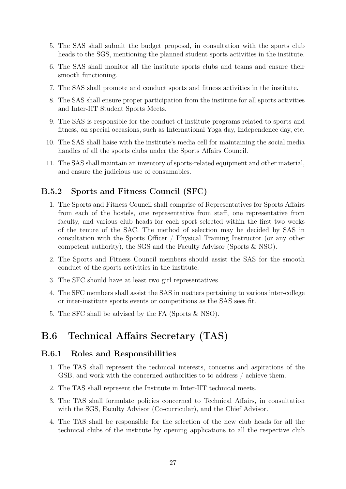- 5. The SAS shall submit the budget proposal, in consultation with the sports club heads to the SGS, mentioning the planned student sports activities in the institute.
- 6. The SAS shall monitor all the institute sports clubs and teams and ensure their smooth functioning.
- 7. The SAS shall promote and conduct sports and fitness activities in the institute.
- 8. The SAS shall ensure proper participation from the institute for all sports activities and Inter-IIT Student Sports Meets.
- 9. The SAS is responsible for the conduct of institute programs related to sports and fitness, on special occasions, such as International Yoga day, Independence day, etc.
- 10. The SAS shall liaise with the institute's media cell for maintaining the social media handles of all the sports clubs under the Sports Affairs Council.
- 11. The SAS shall maintain an inventory of sports-related equipment and other material, and ensure the judicious use of consumables.

#### <span id="page-30-0"></span>B.5.2 Sports and Fitness Council (SFC)

- 1. The Sports and Fitness Council shall comprise of Representatives for Sports Affairs from each of the hostels, one representative from staff, one representative from faculty, and various club heads for each sport selected within the first two weeks of the tenure of the SAC. The method of selection may be decided by SAS in consultation with the Sports Officer / Physical Training Instructor (or any other competent authority), the SGS and the Faculty Advisor (Sports & NSO).
- 2. The Sports and Fitness Council members should assist the SAS for the smooth conduct of the sports activities in the institute.
- 3. The SFC should have at least two girl representatives.
- 4. The SFC members shall assist the SAS in matters pertaining to various inter-college or inter-institute sports events or competitions as the SAS sees fit.
- 5. The SFC shall be advised by the FA (Sports & NSO).

## <span id="page-30-1"></span>B.6 Technical Affairs Secretary (TAS)

#### <span id="page-30-2"></span>B.6.1 Roles and Responsibilities

- 1. The TAS shall represent the technical interests, concerns and aspirations of the GSB, and work with the concerned authorities to to address / achieve them.
- 2. The TAS shall represent the Institute in Inter-IIT technical meets.
- 3. The TAS shall formulate policies concerned to Technical Affairs, in consultation with the SGS, Faculty Advisor (Co-curricular), and the Chief Advisor.
- 4. The TAS shall be responsible for the selection of the new club heads for all the technical clubs of the institute by opening applications to all the respective club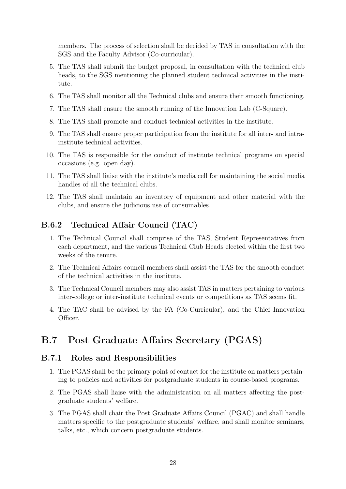members. The process of selection shall be decided by TAS in consultation with the SGS and the Faculty Advisor (Co-curricular).

- 5. The TAS shall submit the budget proposal, in consultation with the technical club heads, to the SGS mentioning the planned student technical activities in the institute.
- 6. The TAS shall monitor all the Technical clubs and ensure their smooth functioning.
- 7. The TAS shall ensure the smooth running of the Innovation Lab (C-Square).
- 8. The TAS shall promote and conduct technical activities in the institute.
- 9. The TAS shall ensure proper participation from the institute for all inter- and intrainstitute technical activities.
- 10. The TAS is responsible for the conduct of institute technical programs on special occasions (e.g. open day).
- 11. The TAS shall liaise with the institute's media cell for maintaining the social media handles of all the technical clubs.
- 12. The TAS shall maintain an inventory of equipment and other material with the clubs, and ensure the judicious use of consumables.

#### <span id="page-31-0"></span>B.6.2 Technical Affair Council (TAC)

- 1. The Technical Council shall comprise of the TAS, Student Representatives from each department, and the various Technical Club Heads elected within the first two weeks of the tenure.
- 2. The Technical Affairs council members shall assist the TAS for the smooth conduct of the technical activities in the institute.
- 3. The Technical Council members may also assist TAS in matters pertaining to various inter-college or inter-institute technical events or competitions as TAS seems fit.
- 4. The TAC shall be advised by the FA (Co-Curricular), and the Chief Innovation Officer.

## <span id="page-31-1"></span>B.7 Post Graduate Affairs Secretary (PGAS)

#### <span id="page-31-2"></span>B.7.1 Roles and Responsibilities

- 1. The PGAS shall be the primary point of contact for the institute on matters pertaining to policies and activities for postgraduate students in course-based programs.
- 2. The PGAS shall liaise with the administration on all matters affecting the postgraduate students' welfare.
- 3. The PGAS shall chair the Post Graduate Affairs Council (PGAC) and shall handle matters specific to the postgraduate students' welfare, and shall monitor seminars, talks, etc., which concern postgraduate students.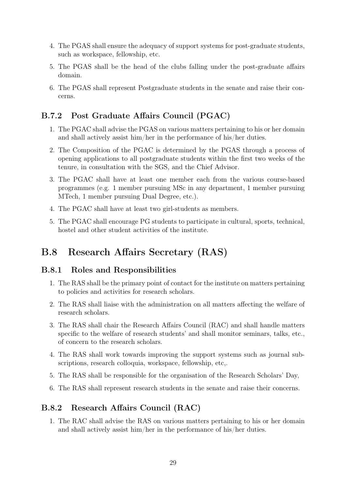- 4. The PGAS shall ensure the adequacy of support systems for post-graduate students, such as workspace, fellowship, etc.
- 5. The PGAS shall be the head of the clubs falling under the post-graduate affairs domain.
- 6. The PGAS shall represent Postgraduate students in the senate and raise their concerns.

### <span id="page-32-0"></span>B.7.2 Post Graduate Affairs Council (PGAC)

- 1. The PGAC shall advise the PGAS on various matters pertaining to his or her domain and shall actively assist him/her in the performance of his/her duties.
- 2. The Composition of the PGAC is determined by the PGAS through a process of opening applications to all postgraduate students within the first two weeks of the tenure, in consultation with the SGS, and the Chief Advisor.
- 3. The PGAC shall have at least one member each from the various course-based programmes (e.g. 1 member pursuing MSc in any department, 1 member pursuing MTech, 1 member pursuing Dual Degree, etc.).
- 4. The PGAC shall have at least two girl-students as members.
- 5. The PGAC shall encourage PG students to participate in cultural, sports, technical, hostel and other student activities of the institute.

## <span id="page-32-1"></span>B.8 Research Affairs Secretary (RAS)

#### <span id="page-32-2"></span>B.8.1 Roles and Responsibilities

- 1. The RAS shall be the primary point of contact for the institute on matters pertaining to policies and activities for research scholars.
- 2. The RAS shall liaise with the administration on all matters affecting the welfare of research scholars.
- 3. The RAS shall chair the Research Affairs Council (RAC) and shall handle matters specific to the welfare of research students' and shall monitor seminars, talks, etc., of concern to the research scholars.
- 4. The RAS shall work towards improving the support systems such as journal subscriptions, research colloquia, workspace, fellowship, etc,.
- 5. The RAS shall be responsible for the organisation of the Research Scholars' Day,
- 6. The RAS shall represent research students in the senate and raise their concerns.

### <span id="page-32-3"></span>B.8.2 Research Affairs Council (RAC)

1. The RAC shall advise the RAS on various matters pertaining to his or her domain and shall actively assist him/her in the performance of his/her duties.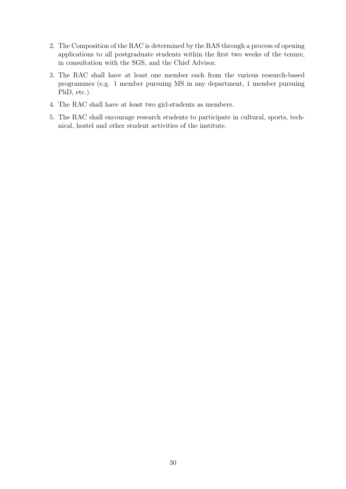- 2. The Composition of the RAC is determined by the RAS through a process of opening applications to all postgraduate students within the first two weeks of the tenure, in consultation with the SGS, and the Chief Advisor.
- 3. The RAC shall have at least one member each from the various research-based programmes (e.g. 1 member pursuing MS in any department, 1 member pursuing PhD, etc.).
- 4. The RAC shall have at least two girl-students as members.
- 5. The RAC shall encourage research students to participate in cultural, sports, technical, hostel and other student activities of the institute.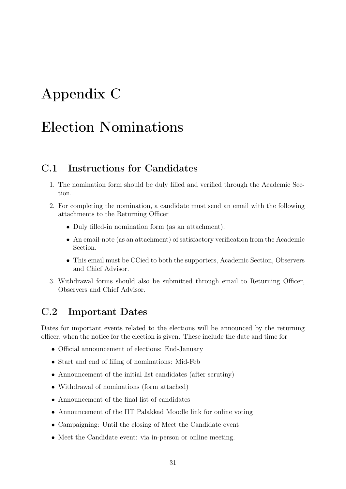# <span id="page-34-0"></span>Appendix C

# Election Nominations

### <span id="page-34-1"></span>C.1 Instructions for Candidates

- 1. The nomination form should be duly filled and verified through the Academic Section.
- 2. For completing the nomination, a candidate must send an email with the following attachments to the Returning Officer
	- Duly filled-in nomination form (as an attachment).
	- An email-note (as an attachment) of satisfactory verification from the Academic Section.
	- This email must be CCied to both the supporters, Academic Section, Observers and Chief Advisor.
- 3. Withdrawal forms should also be submitted through email to Returning Officer, Observers and Chief Advisor.

## <span id="page-34-2"></span>C.2 Important Dates

Dates for important events related to the elections will be announced by the returning officer, when the notice for the election is given. These include the date and time for

- Official announcement of elections: End-January
- Start and end of filing of nominations: Mid-Feb
- Announcement of the initial list candidates (after scrutiny)
- Withdrawal of nominations (form attached)
- Announcement of the final list of candidates
- Announcement of the IIT Palakkad Moodle link for online voting
- Campaigning: Until the closing of Meet the Candidate event
- Meet the Candidate event: via in-person or online meeting.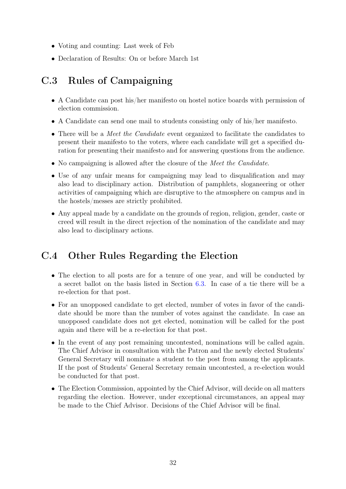- Voting and counting: Last week of Feb
- Declaration of Results: On or before March 1st

# <span id="page-35-0"></span>C.3 Rules of Campaigning

- A Candidate can post his/her manifesto on hostel notice boards with permission of election commission.
- A Candidate can send one mail to students consisting only of his/her manifesto.
- There will be a *Meet the Candidate* event organized to facilitate the candidates to present their manifesto to the voters, where each candidate will get a specified duration for presenting their manifesto and for answering questions from the audience.
- No campaigning is allowed after the closure of the *Meet the Candidate*.
- Use of any unfair means for campaigning may lead to disqualification and may also lead to disciplinary action. Distribution of pamphlets, sloganeering or other activities of campaigning which are disruptive to the atmosphere on campus and in the hostels/messes are strictly prohibited.
- Any appeal made by a candidate on the grounds of region, religion, gender, caste or creed will result in the direct rejection of the nomination of the candidate and may also lead to disciplinary actions.

## <span id="page-35-1"></span>C.4 Other Rules Regarding the Election

- The election to all posts are for a tenure of one year, and will be conducted by a secret ballot on the basis listed in Section [6.3.](#page-17-0) In case of a tie there will be a re-election for that post.
- For an unopposed candidate to get elected, number of votes in favor of the candidate should be more than the number of votes against the candidate. In case an unopposed candidate does not get elected, nomination will be called for the post again and there will be a re-election for that post.
- In the event of any post remaining uncontested, nominations will be called again. The Chief Advisor in consultation with the Patron and the newly elected Students' General Secretary will nominate a student to the post from among the applicants. If the post of Students' General Secretary remain uncontested, a re-election would be conducted for that post.
- The Election Commission, appointed by the Chief Advisor, will decide on all matters regarding the election. However, under exceptional circumstances, an appeal may be made to the Chief Advisor. Decisions of the Chief Advisor will be final.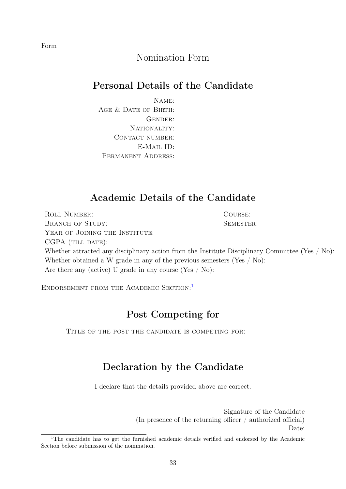## Nomination Form

## Personal Details of the Candidate

Name: AGE & DATE OF BIRTH: GENDER: NATIONALITY: CONTACT NUMBER: E-Mail ID: Permanent Address:

### Academic Details of the Candidate

ROLL NUMBER: COURSE: BRANCH OF STUDY: SEMESTER: YEAR OF JOINING THE INSTITUTE: CGPA (TILL DATE): Whether attracted any disciplinary action from the Institute Disciplinary Committee (Yes / No): Whether obtained a W grade in any of the previous semesters (Yes / No): Are there any (active) U grade in any course (Yes / No):

ENDORSEMENT FROM THE ACADEMIC SECTION:<sup>[1](#page-36-0)</sup>

### Post Competing for

TITLE OF THE POST THE CANDIDATE IS COMPETING FOR:

## Declaration by the Candidate

I declare that the details provided above are correct.

Signature of the Candidate (In presence of the returning officer / authorized official) Date:

Form

<span id="page-36-0"></span><sup>&</sup>lt;sup>1</sup>The candidate has to get the furnished academic details verified and endorsed by the Academic Section before submission of the nomination.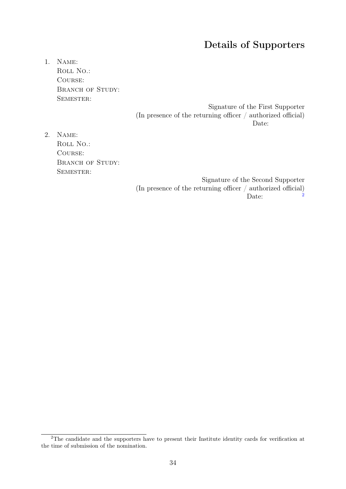## Details of Supporters

1. Name: ROLL NO.: Course: BRANCH OF STUDY: SEMESTER:

> Signature of the First Supporter (In presence of the returning officer / authorized official) Date:

2. Name: ROLL NO.: Course: BRANCH OF STUDY: SEMESTER:

> Signature of the Second Supporter (In presence of the returning officer / authorized official)<br> $\frac{1}{2}$ Date:

<span id="page-37-0"></span><sup>&</sup>lt;sup>2</sup>The candidate and the supporters have to present their Institute identity cards for verification at the time of submission of the nomination.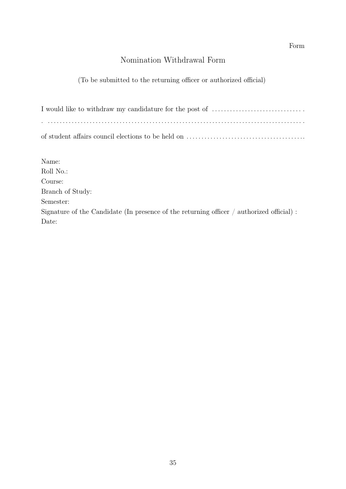#### Form

## Nomination Withdrawal Form

#### (To be submitted to the returning officer or authorized official)

| Name:                                                                                         |
|-----------------------------------------------------------------------------------------------|
| Roll No.:                                                                                     |
| Course:                                                                                       |
| Branch of Study:                                                                              |
| Semester:                                                                                     |
| Signature of the Candidate (In presence of the returning officer $\ell$ authorized official): |
| Date:                                                                                         |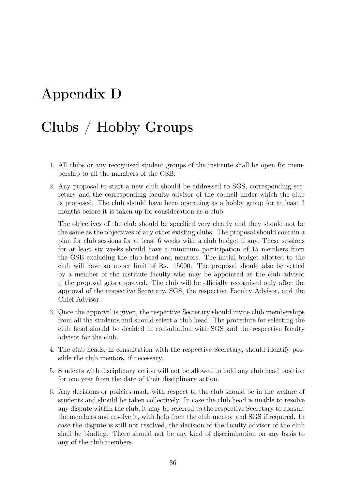# <span id="page-39-0"></span>Appendix D

# Clubs / Hobby Groups

- 1. All clubs or any recognised student groups of the institute shall be open for membership to all the members of the GSB.
- 2. Any proposal to start a new club should be addressed to SGS, corresponding secretary and the corresponding faculty advisor of the council under which the club is proposed. The club should have been operating as a hobby group for at least 3 months before it is taken up for consideration as a club.

The objectives of the club should be specified very clearly and they should not be the same as the objectives of any other existing clubs. The proposal should contain a plan for club sessions for at least 6 weeks with a club budget if any. These sessions for at least six weeks should have a minimum participation of 15 members from the GSB excluding the club head and mentors. The initial budget allotted to the club will have an upper limit of Rs. 15000. The proposal should also be vetted by a member of the institute faculty who may be appointed as the club advisor if the proposal gets approved. The club will be officially recognised only after the approval of the respective Secretary, SGS, the respective Faculty Advisor, and the Chief Advisor.

- 3. Once the approval is given, the respective Secretary should invite club memberships from all the students and should select a club head. The procedure for selecting the club head should be decided in consultation with SGS and the respective faculty advisor for the club.
- 4. The club heads, in consultation with the respective Secretary, should identify possible the club mentors, if necessary.
- 5. Students with disciplinary action will not be allowed to hold any club head position for one year from the date of their disciplinary action.
- 6. Any decisions or policies made with respect to the club should be in the welfare of students and should be taken collectively. In case the club head is unable to resolve any dispute within the club, it may be referred to the respective Secretary to consult the members and resolve it, with help from the club mentor and SGS if required. In case the dispute is still not resolved, the decision of the faculty advisor of the club shall be binding. There should not be any kind of discrimination on any basis to any of the club members.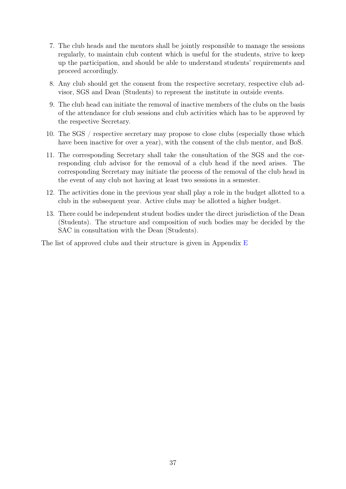- 7. The club heads and the mentors shall be jointly responsible to manage the sessions regularly, to maintain club content which is useful for the students, strive to keep up the participation, and should be able to understand students' requirements and proceed accordingly.
- 8. Any club should get the consent from the respective secretary, respective club advisor, SGS and Dean (Students) to represent the institute in outside events.
- 9. The club head can initiate the removal of inactive members of the clubs on the basis of the attendance for club sessions and club activities which has to be approved by the respective Secretary.
- 10. The SGS / respective secretary may propose to close clubs (especially those which have been inactive for over a year), with the consent of the club mentor, and BoS.
- 11. The corresponding Secretary shall take the consultation of the SGS and the corresponding club advisor for the removal of a club head if the need arises. The corresponding Secretary may initiate the process of the removal of the club head in the event of any club not having at least two sessions in a semester.
- 12. The activities done in the previous year shall play a role in the budget allotted to a club in the subsequent year. Active clubs may be allotted a higher budget.
- <span id="page-40-0"></span>13. There could be independent student bodies under the direct jurisdiction of the Dean (Students). The structure and composition of such bodies may be decided by the SAC in consultation with the Dean (Students).

The list of approved clubs and their structure is given in Appendix [E](#page-41-0)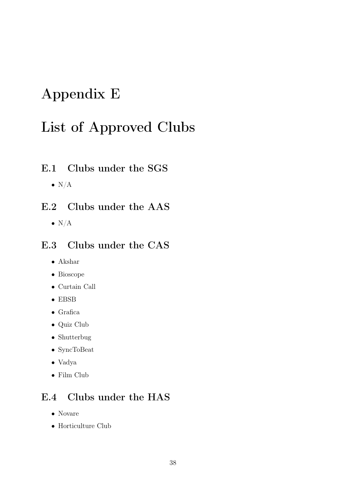# <span id="page-41-0"></span>Appendix E

# List of Approved Clubs

## <span id="page-41-1"></span>E.1 Clubs under the SGS

 $\bullet$  N/A

## <span id="page-41-2"></span>E.2 Clubs under the AAS

 $\bullet$  N/A

## <span id="page-41-3"></span>E.3 Clubs under the CAS

- Akshar
- Bioscope
- Curtain Call
- EBSB
- Grafica
- Quiz Club
- Shutterbug
- SyncToBeat
- Vadya
- Film Club

# <span id="page-41-4"></span>E.4 Clubs under the HAS

- Novare
- Horticulture Club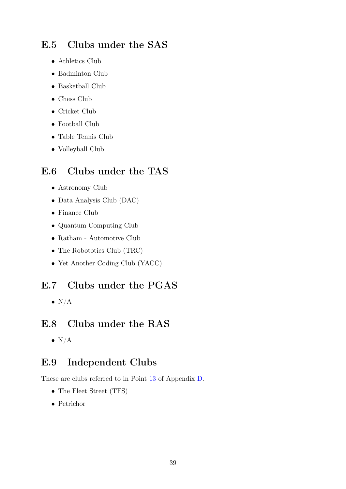## <span id="page-42-0"></span>E.5 Clubs under the SAS

- Athletics Club
- Badminton Club
- Basketball Club
- Chess Club
- Cricket Club
- Football Club
- Table Tennis Club
- Volleyball Club

## <span id="page-42-1"></span>E.6 Clubs under the TAS

- Astronomy Club
- Data Analysis Club (DAC)
- Finance Club
- Quantum Computing Club
- Ratham Automotive Club
- The Robototics Club (TRC)
- Yet Another Coding Club (YACC)

## <span id="page-42-2"></span>E.7 Clubs under the PGAS

 $\bullet$  N/A

## <span id="page-42-3"></span>E.8 Clubs under the RAS

 $\bullet$  N/A

## <span id="page-42-4"></span>E.9 Independent Clubs

These are clubs referred to in Point [13](#page-40-0) of Appendix [D.](#page-39-0)

- The Fleet Street (TFS)
- Petrichor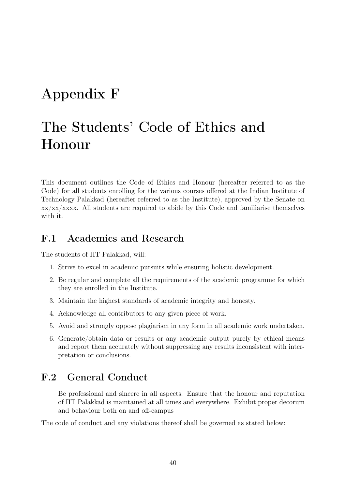# <span id="page-43-0"></span>Appendix F

# The Students' Code of Ethics and Honour

This document outlines the Code of Ethics and Honour (hereafter referred to as the Code) for all students enrolling for the various courses offered at the Indian Institute of Technology Palakkad (hereafter referred to as the Institute), approved by the Senate on  $xx/xx/xxxx$ . All students are required to abide by this Code and familiarise themselves with it.

### <span id="page-43-1"></span>F.1 Academics and Research

The students of IIT Palakkad, will:

- 1. Strive to excel in academic pursuits while ensuring holistic development.
- 2. Be regular and complete all the requirements of the academic programme for which they are enrolled in the Institute.
- 3. Maintain the highest standards of academic integrity and honesty.
- 4. Acknowledge all contributors to any given piece of work.
- 5. Avoid and strongly oppose plagiarism in any form in all academic work undertaken.
- 6. Generate/obtain data or results or any academic output purely by ethical means and report them accurately without suppressing any results inconsistent with interpretation or conclusions.

## <span id="page-43-2"></span>F.2 General Conduct

Be professional and sincere in all aspects. Ensure that the honour and reputation of IIT Palakkad is maintained at all times and everywhere. Exhibit proper decorum and behaviour both on and off-campus

The code of conduct and any violations thereof shall be governed as stated below: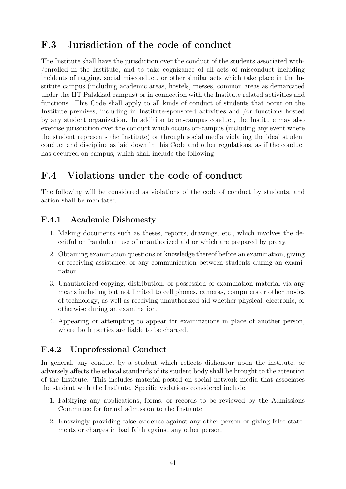## <span id="page-44-0"></span>F.3 Jurisdiction of the code of conduct

The Institute shall have the jurisdiction over the conduct of the students associated with- /enrolled in the Institute, and to take cognizance of all acts of misconduct including incidents of ragging, social misconduct, or other similar acts which take place in the Institute campus (including academic areas, hostels, messes, common areas as demarcated under the IIT Palakkad campus) or in connection with the Institute related activities and functions. This Code shall apply to all kinds of conduct of students that occur on the Institute premises, including in Institute-sponsored activities and /or functions hosted by any student organization. In addition to on-campus conduct, the Institute may also exercise jurisdiction over the conduct which occurs off-campus (including any event where the student represents the Institute) or through social media violating the ideal student conduct and discipline as laid down in this Code and other regulations, as if the conduct has occurred on campus, which shall include the following:

## <span id="page-44-1"></span>F.4 Violations under the code of conduct

The following will be considered as violations of the code of conduct by students, and action shall be mandated.

### <span id="page-44-2"></span>F.4.1 Academic Dishonesty

- 1. Making documents such as theses, reports, drawings, etc., which involves the deceitful or fraudulent use of unauthorized aid or which are prepared by proxy.
- 2. Obtaining examination questions or knowledge thereof before an examination, giving or receiving assistance, or any communication between students during an examination.
- 3. Unauthorized copying, distribution, or possession of examination material via any means including but not limited to cell phones, cameras, computers or other modes of technology; as well as receiving unauthorized aid whether physical, electronic, or otherwise during an examination.
- 4. Appearing or attempting to appear for examinations in place of another person, where both parties are liable to be charged.

### <span id="page-44-3"></span>F.4.2 Unprofessional Conduct

In general, any conduct by a student which reflects dishonour upon the institute, or adversely affects the ethical standards of its student body shall be brought to the attention of the Institute. This includes material posted on social network media that associates the student with the Institute. Specific violations considered include:

- 1. Falsifying any applications, forms, or records to be reviewed by the Admissions Committee for formal admission to the Institute.
- 2. Knowingly providing false evidence against any other person or giving false statements or charges in bad faith against any other person.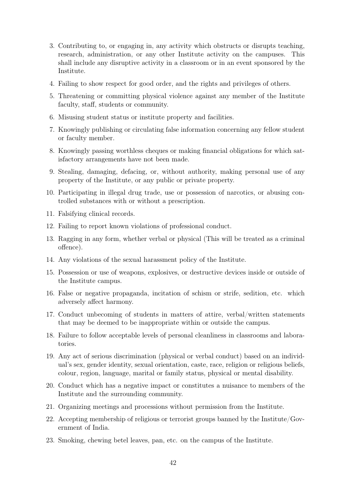- 3. Contributing to, or engaging in, any activity which obstructs or disrupts teaching, research, administration, or any other Institute activity on the campuses. This shall include any disruptive activity in a classroom or in an event sponsored by the Institute.
- 4. Failing to show respect for good order, and the rights and privileges of others.
- 5. Threatening or committing physical violence against any member of the Institute faculty, staff, students or community.
- 6. Misusing student status or institute property and facilities.
- 7. Knowingly publishing or circulating false information concerning any fellow student or faculty member.
- 8. Knowingly passing worthless cheques or making financial obligations for which satisfactory arrangements have not been made.
- 9. Stealing, damaging, defacing, or, without authority, making personal use of any property of the Institute, or any public or private property.
- 10. Participating in illegal drug trade, use or possession of narcotics, or abusing controlled substances with or without a prescription.
- 11. Falsifying clinical records.
- 12. Failing to report known violations of professional conduct.
- 13. Ragging in any form, whether verbal or physical (This will be treated as a criminal offence).
- 14. Any violations of the sexual harassment policy of the Institute.
- 15. Possession or use of weapons, explosives, or destructive devices inside or outside of the Institute campus.
- 16. False or negative propaganda, incitation of schism or strife, sedition, etc. which adversely affect harmony.
- 17. Conduct unbecoming of students in matters of attire, verbal/written statements that may be deemed to be inappropriate within or outside the campus.
- 18. Failure to follow acceptable levels of personal cleanliness in classrooms and laboratories.
- 19. Any act of serious discrimination (physical or verbal conduct) based on an individual's sex, gender identity, sexual orientation, caste, race, religion or religious beliefs, colour, region, language, marital or family status, physical or mental disability.
- 20. Conduct which has a negative impact or constitutes a nuisance to members of the Institute and the surrounding community.
- 21. Organizing meetings and processions without permission from the Institute.
- 22. Accepting membership of religious or terrorist groups banned by the Institute/Government of India.
- 23. Smoking, chewing betel leaves, pan, etc. on the campus of the Institute.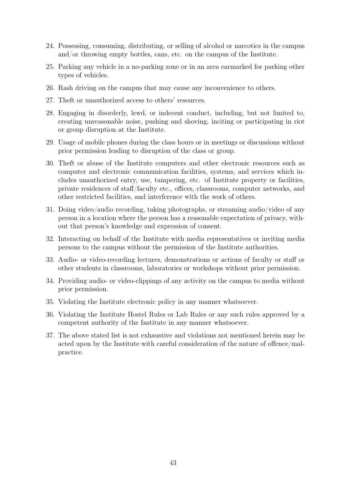- 24. Possessing, consuming, distributing, or selling of alcohol or narcotics in the campus and/or throwing empty bottles, cans, etc. on the campus of the Institute.
- 25. Parking any vehicle in a no-parking zone or in an area earmarked for parking other types of vehicles.
- 26. Rash driving on the campus that may cause any inconvenience to others.
- 27. Theft or unauthorized access to others' resources.
- 28. Engaging in disorderly, lewd, or indecent conduct, including, but not limited to, creating unreasonable noise, pushing and shoving, inciting or participating in riot or group disruption at the Institute.
- 29. Usage of mobile phones during the class hours or in meetings or discussions without prior permission leading to disruption of the class or group.
- 30. Theft or abuse of the Institute computers and other electronic resources such as computer and electronic communication facilities, systems, and services which includes unauthorized entry, use, tampering, etc. of Institute property or facilities, private residences of staff/faculty etc., offices, classrooms, computer networks, and other restricted facilities, and interference with the work of others.
- 31. Doing video/audio recording, taking photographs, or streaming audio/video of any person in a location where the person has a reasonable expectation of privacy, without that person's knowledge and expression of consent.
- 32. Interacting on behalf of the Institute with media representatives or inviting media persons to the campus without the permission of the Institute authorities.
- 33. Audio- or video-recording lectures, demonstrations or actions of faculty or staff or other students in classrooms, laboratories or workshops without prior permission.
- 34. Providing audio- or video-clippings of any activity on the campus to media without prior permission.
- 35. Violating the Institute electronic policy in any manner whatsoever.
- 36. Violating the Institute Hostel Rules or Lab Rules or any such rules approved by a competent authority of the Institute in any manner whatsoever.
- 37. The above stated list is not exhaustive and violations not mentioned herein may be acted upon by the Institute with careful consideration of the nature of offence/malpractice.